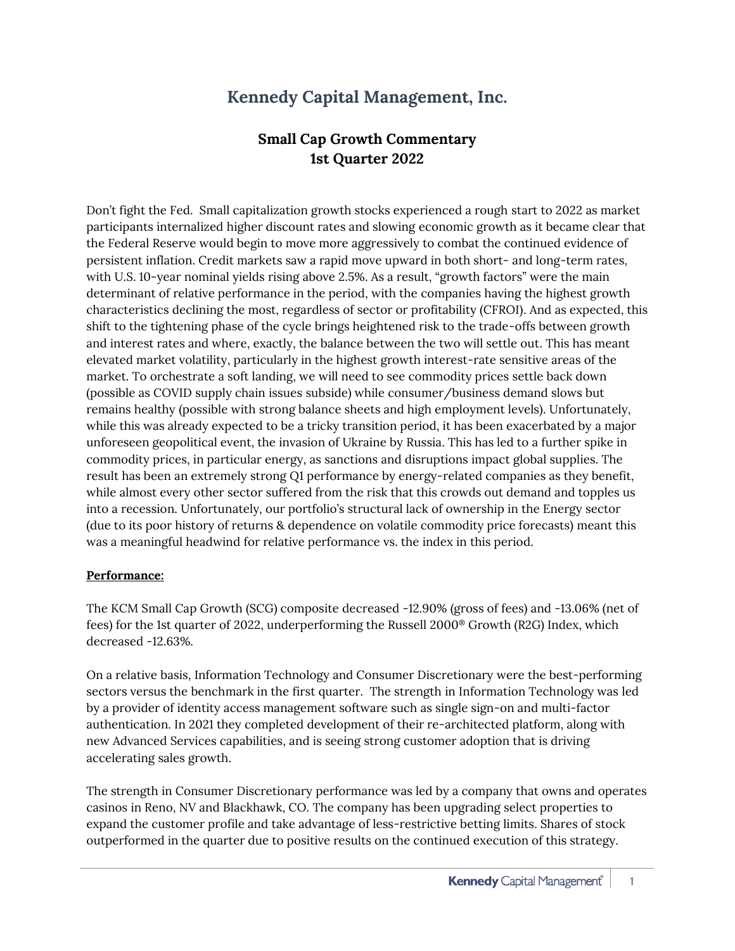# **Kennedy Capital Management, Inc.**

## **Small Cap Growth Commentary 1st Quarter 2022**

Don't fight the Fed. Small capitalization growth stocks experienced a rough start to 2022 as market participants internalized higher discount rates and slowing economic growth as it became clear that the Federal Reserve would begin to move more aggressively to combat the continued evidence of persistent inflation. Credit markets saw a rapid move upward in both short- and long-term rates, with U.S. 10-year nominal yields rising above 2.5%. As a result, "growth factors" were the main determinant of relative performance in the period, with the companies having the highest growth characteristics declining the most, regardless of sector or profitability (CFROI). And as expected, this shift to the tightening phase of the cycle brings heightened risk to the trade-offs between growth and interest rates and where, exactly, the balance between the two will settle out. This has meant elevated market volatility, particularly in the highest growth interest-rate sensitive areas of the market. To orchestrate a soft landing, we will need to see commodity prices settle back down (possible as COVID supply chain issues subside) while consumer/business demand slows but remains healthy (possible with strong balance sheets and high employment levels). Unfortunately, while this was already expected to be a tricky transition period, it has been exacerbated by a major unforeseen geopolitical event, the invasion of Ukraine by Russia. This has led to a further spike in commodity prices, in particular energy, as sanctions and disruptions impact global supplies. The result has been an extremely strong Q1 performance by energy-related companies as they benefit, while almost every other sector suffered from the risk that this crowds out demand and topples us into a recession. Unfortunately, our portfolio's structural lack of ownership in the Energy sector (due to its poor history of returns & dependence on volatile commodity price forecasts) meant this was a meaningful headwind for relative performance vs. the index in this period.

#### **Performance:**

The KCM Small Cap Growth (SCG) composite decreased -12.90% (gross of fees) and -13.06% (net of fees) for the 1st quarter of 2022, underperforming the Russell 2000® Growth (R2G) Index, which decreased -12.63%.

On a relative basis, Information Technology and Consumer Discretionary were the best-performing sectors versus the benchmark in the first quarter. The strength in Information Technology was led by a provider of identity access management software such as single sign-on and multi-factor authentication. In 2021 they completed development of their re-architected platform, along with new Advanced Services capabilities, and is seeing strong customer adoption that is driving accelerating sales growth.

The strength in Consumer Discretionary performance was led by a company that owns and operates casinos in Reno, NV and Blackhawk, CO. The company has been upgrading select properties to expand the customer profile and take advantage of less-restrictive betting limits. Shares of stock outperformed in the quarter due to positive results on the continued execution of this strategy.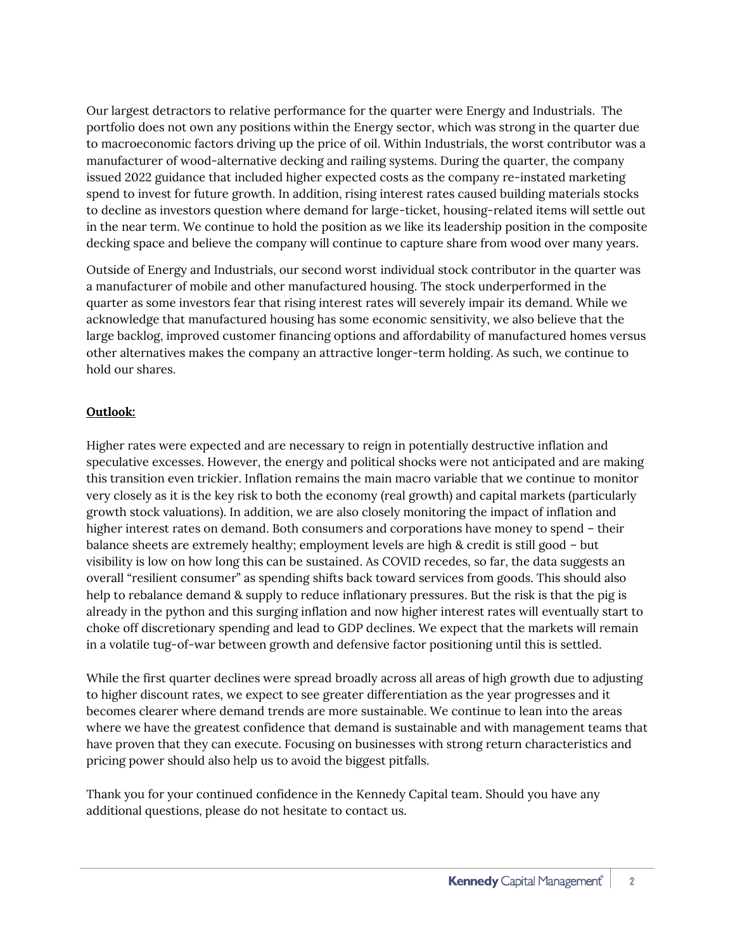Our largest detractors to relative performance for the quarter were Energy and Industrials. The portfolio does not own any positions within the Energy sector, which was strong in the quarter due to macroeconomic factors driving up the price of oil. Within Industrials, the worst contributor was a manufacturer of wood-alternative decking and railing systems. During the quarter, the company issued 2022 guidance that included higher expected costs as the company re-instated marketing spend to invest for future growth. In addition, rising interest rates caused building materials stocks to decline as investors question where demand for large-ticket, housing-related items will settle out in the near term. We continue to hold the position as we like its leadership position in the composite decking space and believe the company will continue to capture share from wood over many years.

Outside of Energy and Industrials, our second worst individual stock contributor in the quarter was a manufacturer of mobile and other manufactured housing. The stock underperformed in the quarter as some investors fear that rising interest rates will severely impair its demand. While we acknowledge that manufactured housing has some economic sensitivity, we also believe that the large backlog, improved customer financing options and affordability of manufactured homes versus other alternatives makes the company an attractive longer-term holding. As such, we continue to hold our shares.

### **Outlook:**

Higher rates were expected and are necessary to reign in potentially destructive inflation and speculative excesses. However, the energy and political shocks were not anticipated and are making this transition even trickier. Inflation remains the main macro variable that we continue to monitor very closely as it is the key risk to both the economy (real growth) and capital markets (particularly growth stock valuations). In addition, we are also closely monitoring the impact of inflation and higher interest rates on demand. Both consumers and corporations have money to spend – their balance sheets are extremely healthy; employment levels are high & credit is still good – but visibility is low on how long this can be sustained. As COVID recedes, so far, the data suggests an overall "resilient consumer" as spending shifts back toward services from goods. This should also help to rebalance demand & supply to reduce inflationary pressures. But the risk is that the pig is already in the python and this surging inflation and now higher interest rates will eventually start to choke off discretionary spending and lead to GDP declines. We expect that the markets will remain in a volatile tug-of-war between growth and defensive factor positioning until this is settled.

While the first quarter declines were spread broadly across all areas of high growth due to adjusting to higher discount rates, we expect to see greater differentiation as the year progresses and it becomes clearer where demand trends are more sustainable. We continue to lean into the areas where we have the greatest confidence that demand is sustainable and with management teams that have proven that they can execute. Focusing on businesses with strong return characteristics and pricing power should also help us to avoid the biggest pitfalls.

Thank you for your continued confidence in the Kennedy Capital team. Should you have any additional questions, please do not hesitate to contact us.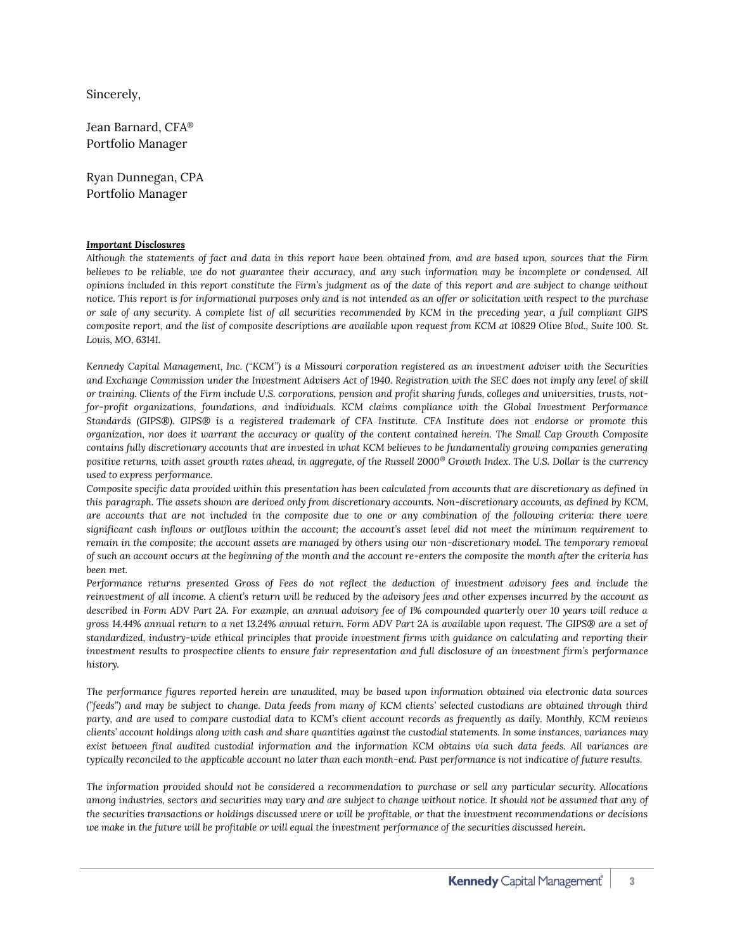Sincerely,

Jean Barnard, CFA® Portfolio Manager

Ryan Dunnegan, CPA Portfolio Manager

#### *Important Disclosures*

*Although the statements of fact and data in this report have been obtained from, and are based upon, sources that the Firm believes to be reliable, we do not guarantee their accuracy, and any such information may be incomplete or condensed. All opinions included in this report constitute the Firm's judgment as of the date of this report and are subject to change without notice. This report is for informational purposes only and is not intended as an offer or solicitation with respect to the purchase or sale of any security. A complete list of all securities recommended by KCM in the preceding year, a full compliant GIPS composite report, and the list of composite descriptions are available upon request from KCM at 10829 Olive Blvd., Suite 100. St. Louis, MO, 63141.* 

*Kennedy Capital Management, Inc. ("KCM") is a Missouri corporation registered as an investment adviser with the Securities and Exchange Commission under the Investment Advisers Act of 1940. Registration with the SEC does not imply any level of skill or training. Clients of the Firm include U.S. corporations, pension and profit sharing funds, colleges and universities, trusts, notfor-profit organizations, foundations, and individuals. KCM claims compliance with the Global Investment Performance Standards (GIPS®). GIPS® is a registered trademark of CFA Institute. CFA Institute does not endorse or promote this organization, nor does it warrant the accuracy or quality of the content contained herein. The Small Cap Growth Composite contains fully discretionary accounts that are invested in what KCM believes to be fundamentally growing companies generating positive returns, with asset growth rates ahead, in aggregate, of the Russell 2000® Growth Index. The U.S. Dollar is the currency used to express performance.*

*Composite specific data provided within this presentation has been calculated from accounts that are discretionary as defined in this paragraph. The assets shown are derived only from discretionary accounts. Non-discretionary accounts, as defined by KCM, are accounts that are not included in the composite due to one or any combination of the following criteria: there were significant cash inflows or outflows within the account; the account's asset level did not meet the minimum requirement to remain in the composite; the account assets are managed by others using our non-discretionary model. The temporary removal of such an account occurs at the beginning of the month and the account re-enters the composite the month after the criteria has been met.*

Performance returns presented Gross of Fees do not reflect the deduction of investment advisory fees and include the *reinvestment of all income. A client's return will be reduced by the advisory fees and other expenses incurred by the account as described in Form ADV Part 2A. For example, an annual advisory fee of 1% compounded quarterly over 10 years will reduce a gross 14.44% annual return to a net 13.24% annual return. Form ADV Part 2A is available upon request. The GIPS® are a set of standardized, industry-wide ethical principles that provide investment firms with guidance on calculating and reporting their investment results to prospective clients to ensure fair representation and full disclosure of an investment firm's performance history.*

*The performance figures reported herein are unaudited, may be based upon information obtained via electronic data sources ("feeds") and may be subject to change. Data feeds from many of KCM clients' selected custodians are obtained through third party, and are used to compare custodial data to KCM's client account records as frequently as daily. Monthly, KCM reviews clients' account holdings along with cash and share quantities against the custodial statements. In some instances, variances may exist between final audited custodial information and the information KCM obtains via such data feeds. All variances are typically reconciled to the applicable account no later than each month-end. Past performance is not indicative of future results.*

*The information provided should not be considered a recommendation to purchase or sell any particular security. Allocations among industries, sectors and securities may vary and are subject to change without notice. It should not be assumed that any of the securities transactions or holdings discussed were or will be profitable, or that the investment recommendations or decisions we make in the future will be profitable or will equal the investment performance of the securities discussed herein.*